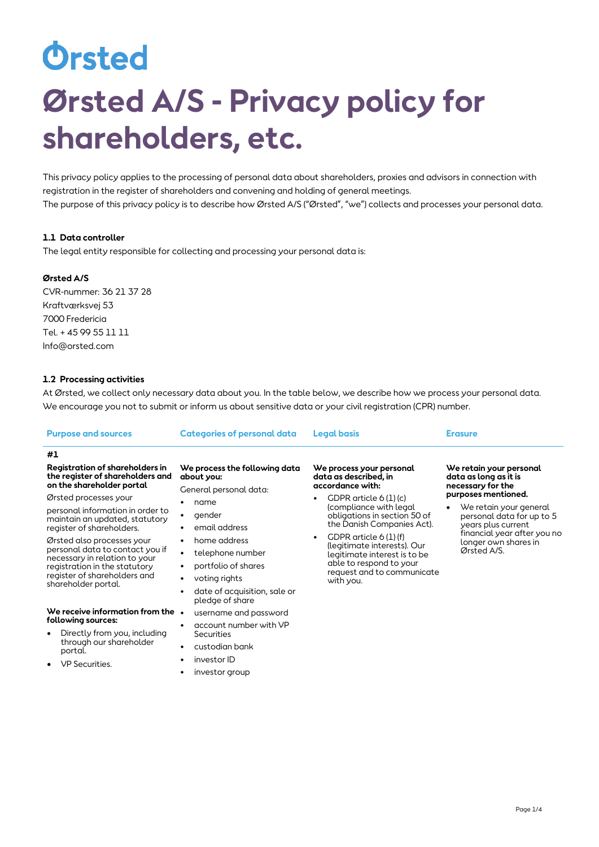# Orsted **Ørsted A/S - Privacy policy for shareholders, etc.**

This privacy policy applies to the processing of personal data about shareholders, proxies and advisors in connection with registration in the register of shareholders and convening and holding of general meetings. The purpose of this privacy policy is to describe how Ørsted A/S ("Ørsted", "we") collects and processes your personal data.

# **1.1 Data controller**

The legal entity responsible for collecting and processing your personal data is:

# **Ørsted A/S**

CVR-nummer: 36 21 37 28 Kraftværksvej 53 7000 Fredericia Tel. + 45 99 55 11 11 Info@orsted.com

# **1.2 Processing activities**

At Ørsted, we collect only necessary data about you. In the table below, we describe how we process your personal data. We encourage you not to submit or inform us about sensitive data or your civil registration (CPR) number.

| <b>Purpose and sources</b>                                                                                                                                                                                                                                                                                                                                                                                                                                                                                                                                                                            | <b>Categories of personal data</b>                                                                                                                                                                                                                                                                                                                                                                                                                                                      | <b>Legal basis</b>                                                                                                                                                                                                                                                                                                                                                               | <b>Erasure</b>                                                                                                                                                                                                                                  |
|-------------------------------------------------------------------------------------------------------------------------------------------------------------------------------------------------------------------------------------------------------------------------------------------------------------------------------------------------------------------------------------------------------------------------------------------------------------------------------------------------------------------------------------------------------------------------------------------------------|-----------------------------------------------------------------------------------------------------------------------------------------------------------------------------------------------------------------------------------------------------------------------------------------------------------------------------------------------------------------------------------------------------------------------------------------------------------------------------------------|----------------------------------------------------------------------------------------------------------------------------------------------------------------------------------------------------------------------------------------------------------------------------------------------------------------------------------------------------------------------------------|-------------------------------------------------------------------------------------------------------------------------------------------------------------------------------------------------------------------------------------------------|
| #1                                                                                                                                                                                                                                                                                                                                                                                                                                                                                                                                                                                                    |                                                                                                                                                                                                                                                                                                                                                                                                                                                                                         |                                                                                                                                                                                                                                                                                                                                                                                  |                                                                                                                                                                                                                                                 |
| Registration of shareholders in<br>the register of shareholders and<br>on the shareholder portal<br>Ørsted processes your<br>personal information in order to<br>maintain an updated, statutory<br>register of shareholders.<br>Ørsted also processes your<br>personal data to contact you if<br>necessary in relation to your<br>registration in the statutory<br>register of shareholders and<br>shareholder portal.<br>We receive information from the $\,\cdot\,$<br>following sources:<br>Directly from you, including<br>$\bullet$<br>through our shareholder<br>portal.<br>VP Securities.<br>٠ | We process the following data<br>about you:<br>General personal data:<br>name<br>$\bullet$<br>gender<br>٠<br>email address<br>٠<br>home address<br>$\bullet$<br>telephone number<br>$\bullet$<br>portfolio of shares<br>٠<br>voting rights<br>٠<br>date of acquisition, sale or<br>$\bullet$<br>pledge of share<br>username and password<br>account number with VP<br>$\bullet$<br>Securities<br>custodian bank<br>$\bullet$<br>investor ID<br>$\bullet$<br>investor group<br>$\bullet$ | We process your personal<br>data as described, in<br>accordance with:<br>GDPR article $6(1)(c)$<br>$\bullet$<br>(compliance with legal<br>obligations in section 50 of<br>the Danish Companies Act).<br>GDPR article $6(1)(f)$<br>$\bullet$<br>(legitimate interests). Our<br>legitimate interest is to be<br>able to respond to your<br>request and to communicate<br>with you. | We retain your personal<br>data as long as it is<br>necessary for the<br>purposes mentioned.<br>We retain your general<br>personal data for up to 5<br>years plus current<br>financial year after you no<br>longer own shares in<br>Ørsted A/S. |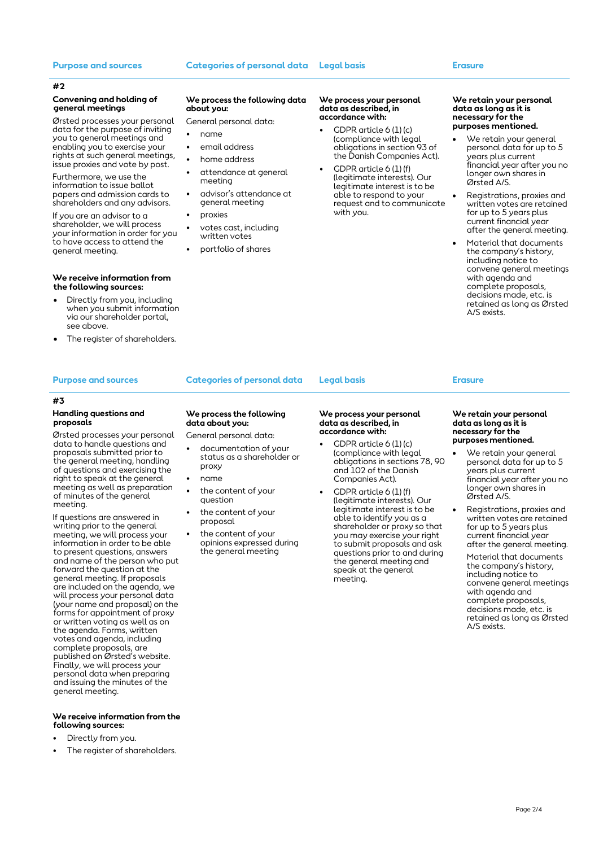### **Purpose and sources Categories of personal data Legal basis Erasure**

### **#2**

### **Convening and holding of general meetings**

Ørsted processes your personal data for the purpose of inviting you to general meetings and enabling you to exercise your rights at such general meetings, issue proxies and vote by post.

Furthermore, we use the information to issue ballot papers and admission cards to shareholders and any advisors.

If you are an advisor to a shareholder, we will process your information in order for you to have access to attend the general meeting.

### **We receive information from the following sources:**

- Directly from you, including when you submit information via our shareholder portal, see above.
- The register of shareholders.

### **#3**

### **Handling questions and proposals**

Ørsted processes your personal data to handle questions and proposals submitted prior to the general meeting, handling of questions and exercising the right to speak at the general meeting as well as preparation of minutes of the general meeting.

If questions are answered in writing prior to the general meeting, we will process your information in order to be able to present questions, answers and name of the person who put forward the question at the general meeting. If proposals are included on the agenda, we will process your personal data (your name and proposal) on the forms for appointment of proxy or written voting as well as on the agenda. Forms, written votes and agenda, including complete proposals, are published on Ørsted's website. Finally, we will process your personal data when preparing and issuing the minutes of the general meeting.

### **We receive information from the following sources:**

- Directly from you.
- The register of shareholders.

### **We process the following data about you:**

### General personal data:

- name
- email address
- home address
- attendance at general meeting
- advisor's attendance at general meeting
- proxies
- votes cast, including written votes
- portfolio of shares

### **We process your personal data as described, in accordance with:**

- GDPR article 6 (1) (c) (compliance with legal obligations in section 93 of the Danish Companies Act).
- GDPR article 6 (1) (f) (legitimate interests). Our legitimate interest is to be able to respond to your request and to communicate with you.

### **We retain your personal data as long as it is necessary for the purposes mentioned.**

- We retain your general personal data for up to 5 years plus current financial year after you no longer own shares in Ørsted A/S.
- Registrations, proxies and written votes are retained for up to 5 years plus current financial year after the general meeting.
- Material that documents the company´s history, including notice to convene general meetings with agenda and complete proposals, decisions made, etc. is retained as long as Ørsted A/S exists.

### **Purpose and sources Categories of personal data Legal basis Erasure**

**We process the following** 

the content of your

the content of your

the content of your opinions expressed during the general meeting

**data about you:** General personal data: • documentation of your status as a shareholder or

proxy • name

question

proposal

### **We process your personal data as described, in accordance with:**

- GDPR article 6 (1) (c) (compliance with legal obligations in sections 78, 90 and 102 of the Danish Companies Act).
- GDPR article 6 (1) (f) (legitimate interests). Our legitimate interest is to be able to identify you as a shareholder or proxy so that you may exercise your right to submit proposals and ask questions prior to and during the general meeting and speak at the general meeting.

### **We retain your personal data as long as it is necessary for the purposes mentioned.**

- We retain your general personal data for up to 5 years plus current financial year after you no longer own shares in Ørsted A/S.
- Registrations, proxies and written votes are retained for up to 5 years plus current financial year after the general meeting.
	- Material that documents the company´s history, including notice to convene general meetings with agenda and complete proposals, decisions made, etc. is retained as long as Ørsted A/S exists.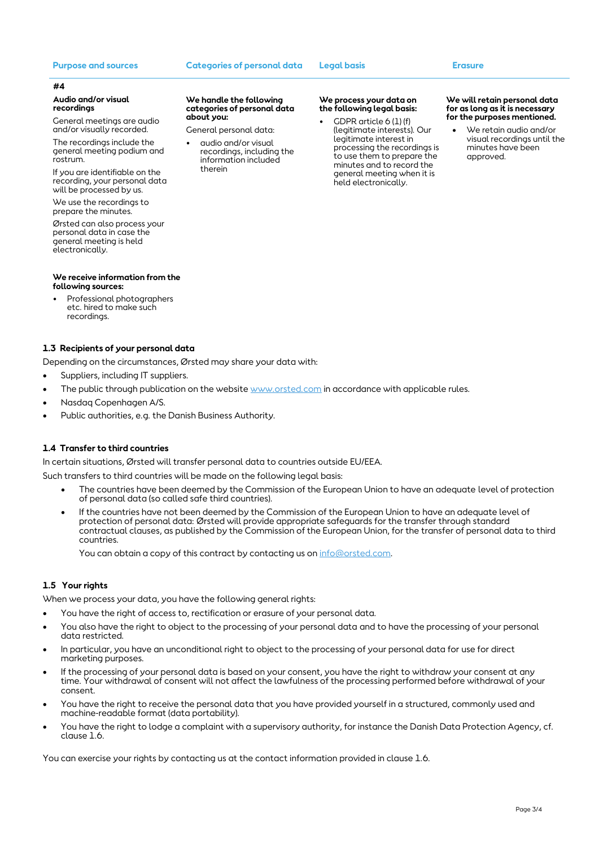### **Purpose and sources Categories of personal data Legal basis Erasure**

**We handle the following categories of personal data** 

General personal data: audio and/or visual recordings, including the information included

**about you:**

therein

### **#4**

### **Audio and/or visual recordings**

General meetings are audio and/or visually recorded.

The recordings include the general meeting podium and rostrum.

If you are identifiable on the recording, your personal data will be processed by us.

We use the recordings to prepare the minutes.

Ørsted can also process your personal data in case the general meeting is held electronically.

### **We receive information from the following sources:**

• Professional photographers etc. hired to make such recordings.

# **1.3 Recipients of your personal data**

Depending on the circumstances, Ørsted may share your data with:

- Suppliers, including IT suppliers.
- The public through publication on the website [www.orsted.com](http://www.orsted.com/) in accordance with applicable rules.
- Nasdaq Copenhagen A/S.
- Public authorities, e.g. the Danish Business Authority.

# **1.4 Transfer to third countries**

In certain situations, Ørsted will transfer personal data to countries outside EU/EEA.

Such transfers to third countries will be made on the following legal basis:

- The countries have been deemed by the Commission of the European Union to have an adequate level of protection of personal data (so called safe third countries).
- If the countries have not been deemed by the Commission of the European Union to have an adequate level of protection of personal data: Ørsted will provide appropriate safeguards for the transfer through standard contractual clauses, as published by the Commission of the European Union, for the transfer of personal data to third countries.

You can obtain a copy of this contract by contacting us on [info@orsted.com.](mailto:info@orsted.com)

## **1.5 Your rights**

When we process your data, you have the following general rights:

- You have the right of access to, rectification or erasure of your personal data.
- You also have the right to object to the processing of your personal data and to have the processing of your personal data restricted.
- In particular, you have an unconditional right to object to the processing of your personal data for use for direct marketing purposes.
- If the processing of your personal data is based on your consent, you have the right to withdraw your consent at any time. Your withdrawal of consent will not affect the lawfulness of the processing performed before withdrawal of your consent.
- You have the right to receive the personal data that you have provided yourself in a structured, commonly used and machine-readable format (data portability).
- You have the right to lodge a complaint with a supervisory authority, for instance the Danish Data Protection Agency, cf. clause 1.6.

You can exercise your rights by contacting us at the contact information provided in clause 1.6.

### **We process your data on the following legal basis:**

GDPR article  $6$  (1) (f) (legitimate interests). Our legitimate interest in processing the recordings is to use them to prepare the minutes and to record the general meeting when it is held electronically.

### **We will retain personal data for as long as it is necessary for the purposes mentioned.**

• We retain audio and/or visual recordings until the minutes have been approved.